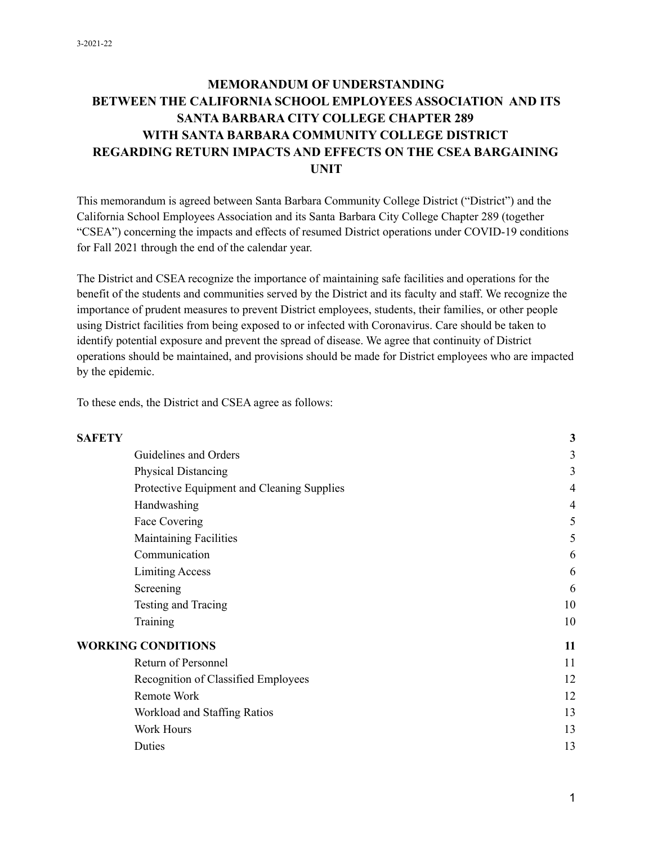### **MEMORANDUM OF UNDERSTANDING BETWEEN THE CALIFORNIA SCHOOL EMPLOYEES ASSOCIATION AND ITS SANTA BARBARA CITY COLLEGE CHAPTER 289 WITH SANTA BARBARA COMMUNITY COLLEGE DISTRICT REGARDING RETURN IMPACTS AND EFFECTS ON THE CSEA BARGAINING UNIT**

This memorandum is agreed between Santa Barbara Community College District ("District") and the California School Employees Association and its Santa Barbara City College Chapter 289 (together "CSEA") concerning the impacts and effects of resumed District operations under COVID-19 conditions for Fall 2021 through the end of the calendar year.

The District and CSEA recognize the importance of maintaining safe facilities and operations for the benefit of the students and communities served by the District and its faculty and staff. We recognize the importance of prudent measures to prevent District employees, students, their families, or other people using District facilities from being exposed to or infected with Coronavirus. Care should be taken to identify potential exposure and prevent the spread of disease. We agree that continuity of District operations should be maintained, and provisions should be made for District employees who are impacted by the epidemic.

To these ends, the District and CSEA agree as follows:

| <b>SAFETY</b>             |                                            | 3  |
|---------------------------|--------------------------------------------|----|
|                           | Guidelines and Orders                      | 3  |
|                           | <b>Physical Distancing</b>                 | 3  |
|                           | Protective Equipment and Cleaning Supplies | 4  |
|                           | Handwashing                                | 4  |
|                           | Face Covering                              | 5  |
|                           | <b>Maintaining Facilities</b>              | 5  |
|                           | Communication                              | 6  |
|                           | <b>Limiting Access</b>                     | 6  |
|                           | Screening                                  | 6  |
|                           | Testing and Tracing                        | 10 |
|                           | Training                                   | 10 |
| <b>WORKING CONDITIONS</b> |                                            | 11 |
|                           | Return of Personnel                        | 11 |
|                           | Recognition of Classified Employees        | 12 |
|                           | Remote Work                                | 12 |
|                           | Workload and Staffing Ratios               | 13 |
|                           | Work Hours                                 | 13 |
|                           | Duties                                     | 13 |

#### 1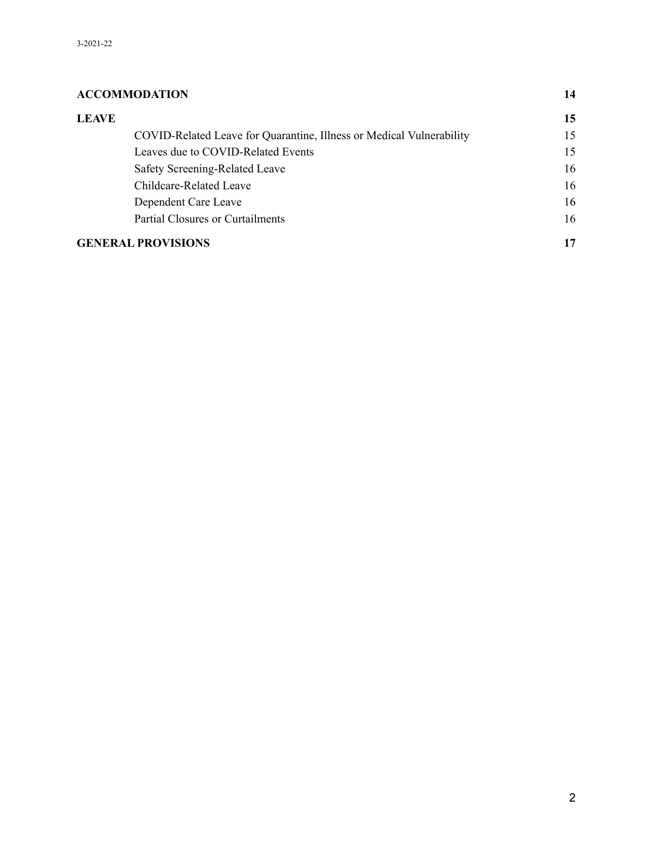### **[ACCOMMODATION](/h.gwloq2dbdclh) [1](/h.gwloq2dbdclh)4 [LEAVE](/h.lh41b1vsefqg) [1](/h.lh41b1vsefqg)5** [COVID-Related](/h.46rtecsu4366) Leave for Quarantine, Illness or Medical Vulnerability [1](/h.46rtecsu4366)5 Leaves due to [COVID-Related](/h.bs0si4jkxrdq) Events [15](/h.bs0si4jkxrdq) Safety [Screening-Related](/h.fqg5wuks3kkh) Leave [1](/h.fqg5wuks3kkh)6 [Childcare-Related](/h.8sa3uusb98np) Leave [1](/h.8sa3uusb98np)6 [Dependent](/h.yadon8ci959q) Care Leave [1](/h.yadon8ci959q)6 Partial Closures or [Curtailments](/h.hxxrt0uc89um) [16](/h.hxxrt0uc89um) **GENERAL [PROVISIONS](/h.muc74utjzsqq) [1](/h.muc74utjzsqq)7**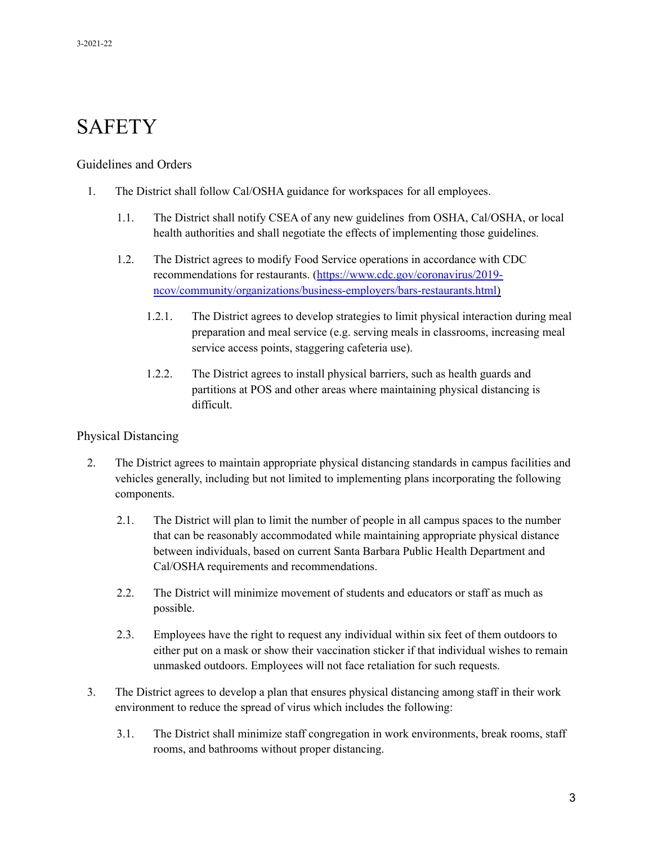# **SAFETY**

#### Guidelines and Orders

- 1. The District shall follow Cal/OSHA guidance for workspaces for all employees.
	- 1.1. The District shall notify CSEA of any new guidelines from OSHA, Cal/OSHA, or local health authorities and shall negotiate the effects of implementing those guidelines.
	- 1.2. The District agrees to modify Food Service operations in accordance with CDC recommendations for restaurants. (https://[www.cdc.gov/coronavirus/2019](http://www.cdc.gov/coronavirus/2019-) ncov/community/organizations/business-employers/bars-restaurants.html)
		- 1.2.1. The District agrees to develop strategies to limit physical interaction during meal preparation and meal service (e.g. serving meals in classrooms, increasing meal service access points, staggering cafeteria use).
		- 1.2.2. The District agrees to install physical barriers, such as health guards and partitions at POS and other areas where maintaining physical distancing is difficult.

#### Physical Distancing

- 2. The District agrees to maintain appropriate physical distancing standards in campus facilities and vehicles generally, including but not limited to implementing plans incorporating the following components.
	- 2.1. The District will plan to limit the number of people in all campus spaces to the number that can be reasonably accommodated while maintaining appropriate physical distance between individuals, based on current Santa Barbara Public Health Department and Cal/OSHA requirements and recommendations.
	- 2.2. The District will minimize movement of students and educators or staff as much as possible.
	- 2.3. Employees have the right to request any individual within six feet of them outdoors to either put on a mask or show their vaccination sticker if that individual wishes to remain unmasked outdoors. Employees will not face retaliation for such requests.
- 3. The District agrees to develop a plan that ensures physical distancing among staff in their work environment to reduce the spread of virus which includes the following:
	- 3.1. The District shall minimize staff congregation in work environments, break rooms, staff rooms, and bathrooms without proper distancing.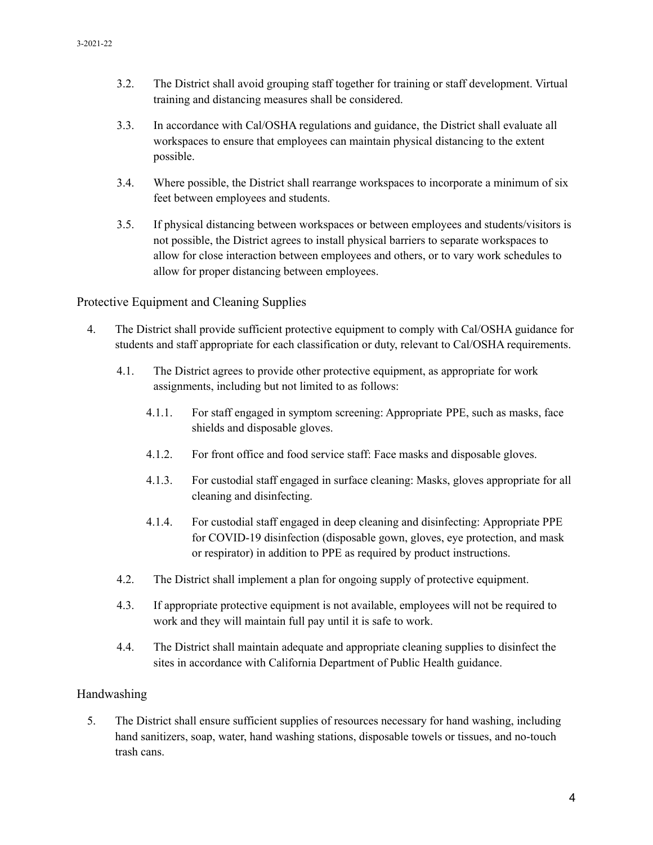- 3.2. The District shall avoid grouping staff together for training or staff development. Virtual training and distancing measures shall be considered.
- 3.3. In accordance with Cal/OSHA regulations and guidance, the District shall evaluate all workspaces to ensure that employees can maintain physical distancing to the extent possible.
- 3.4. Where possible, the District shall rearrange workspaces to incorporate a minimum of six feet between employees and students.
- 3.5. If physical distancing between workspaces or between employees and students/visitors is not possible, the District agrees to install physical barriers to separate workspaces to allow for close interaction between employees and others, or to vary work schedules to allow for proper distancing between employees.

Protective Equipment and Cleaning Supplies

- 4. The District shall provide sufficient protective equipment to comply with Cal/OSHA guidance for students and staff appropriate for each classification or duty, relevant to Cal/OSHA requirements.
	- 4.1. The District agrees to provide other protective equipment, as appropriate for work assignments, including but not limited to as follows:
		- 4.1.1. For staff engaged in symptom screening: Appropriate PPE, such as masks, face shields and disposable gloves.
		- 4.1.2. For front office and food service staff: Face masks and disposable gloves.
		- 4.1.3. For custodial staff engaged in surface cleaning: Masks, gloves appropriate for all cleaning and disinfecting.
		- 4.1.4. For custodial staff engaged in deep cleaning and disinfecting: Appropriate PPE for COVID-19 disinfection (disposable gown, gloves, eye protection, and mask or respirator) in addition to PPE as required by product instructions.
	- 4.2. The District shall implement a plan for ongoing supply of protective equipment.
	- 4.3. If appropriate protective equipment is not available, employees will not be required to work and they will maintain full pay until it is safe to work.
	- 4.4. The District shall maintain adequate and appropriate cleaning supplies to disinfect the sites in accordance with California Department of Public Health guidance.

#### Handwashing

5. The District shall ensure sufficient supplies of resources necessary for hand washing, including hand sanitizers, soap, water, hand washing stations, disposable towels or tissues, and no-touch trash cans.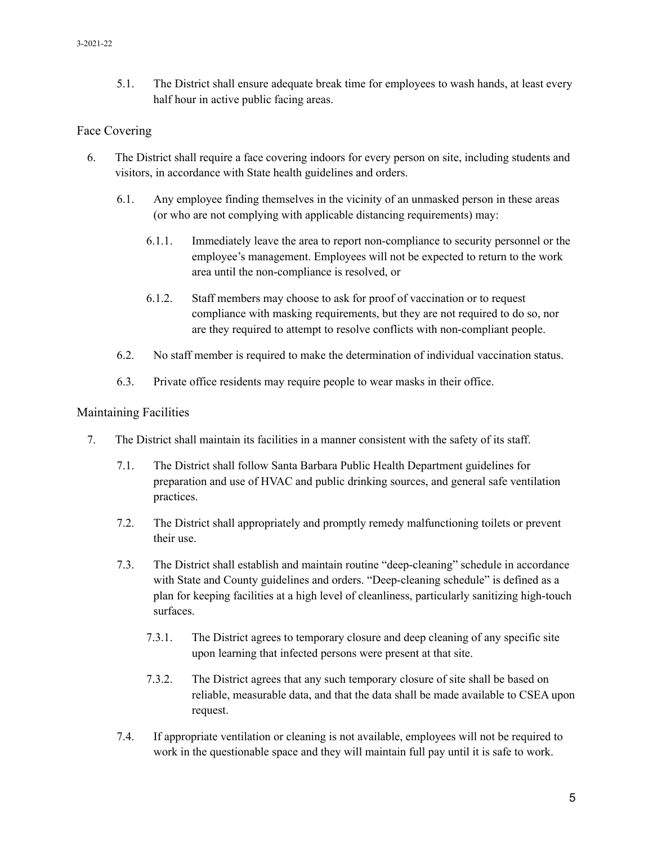5.1. The District shall ensure adequate break time for employees to wash hands, at least every half hour in active public facing areas.

#### Face Covering

- 6. The District shall require a face covering indoors for every person on site, including students and visitors, in accordance with State health guidelines and orders.
	- 6.1. Any employee finding themselves in the vicinity of an unmasked person in these areas (or who are not complying with applicable distancing requirements) may:
		- 6.1.1. Immediately leave the area to report non-compliance to security personnel or the employee's management. Employees will not be expected to return to the work area until the non-compliance is resolved, or
		- 6.1.2. Staff members may choose to ask for proof of vaccination or to request compliance with masking requirements, but they are not required to do so, nor are they required to attempt to resolve conflicts with non-compliant people.
	- 6.2. No staff member is required to make the determination of individual vaccination status.
	- 6.3. Private office residents may require people to wear masks in their office.

#### Maintaining Facilities

- 7. The District shall maintain its facilities in a manner consistent with the safety of its staff.
	- 7.1. The District shall follow Santa Barbara Public Health Department guidelines for preparation and use of HVAC and public drinking sources, and general safe ventilation practices.
	- 7.2. The District shall appropriately and promptly remedy malfunctioning toilets or prevent their use.
	- 7.3. The District shall establish and maintain routine "deep-cleaning" schedule in accordance with State and County guidelines and orders. "Deep-cleaning schedule" is defined as a plan for keeping facilities at a high level of cleanliness, particularly sanitizing high-touch surfaces.
		- 7.3.1. The District agrees to temporary closure and deep cleaning of any specific site upon learning that infected persons were present at that site.
		- 7.3.2. The District agrees that any such temporary closure of site shall be based on reliable, measurable data, and that the data shall be made available to CSEA upon request.
	- 7.4. If appropriate ventilation or cleaning is not available, employees will not be required to work in the questionable space and they will maintain full pay until it is safe to work.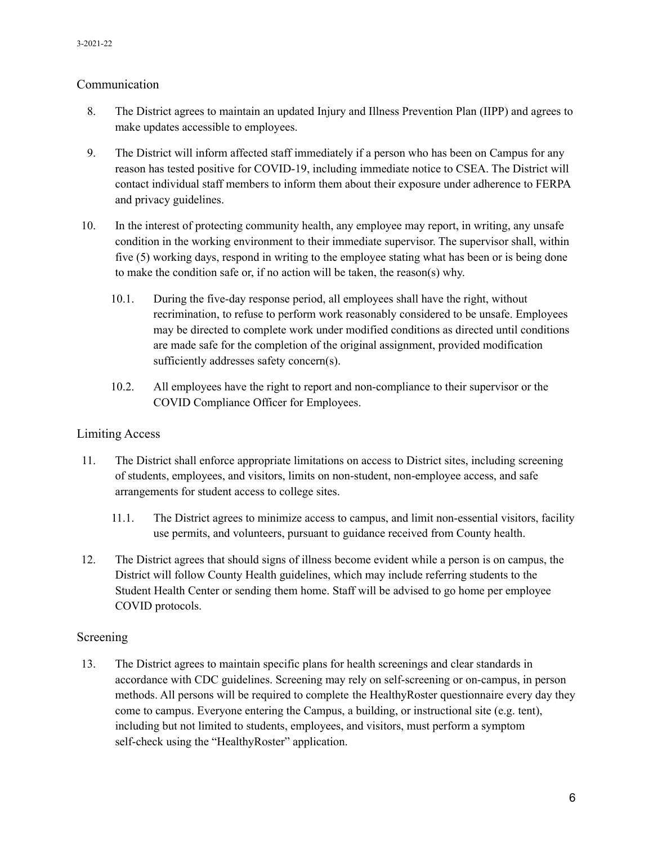#### Communication

- 8. The District agrees to maintain an updated Injury and Illness Prevention Plan (IIPP) and agrees to make updates accessible to employees.
- 9. The District will inform affected staff immediately if a person who has been on Campus for any reason has tested positive for COVID-19, including immediate notice to CSEA. The District will contact individual staff members to inform them about their exposure under adherence to FERPA and privacy guidelines.
- 10. In the interest of protecting community health, any employee may report, in writing, any unsafe condition in the working environment to their immediate supervisor. The supervisor shall, within five (5) working days, respond in writing to the employee stating what has been or is being done to make the condition safe or, if no action will be taken, the reason(s) why.
	- 10.1. During the five-day response period, all employees shall have the right, without recrimination, to refuse to perform work reasonably considered to be unsafe. Employees may be directed to complete work under modified conditions as directed until conditions are made safe for the completion of the original assignment, provided modification sufficiently addresses safety concern(s).
	- 10.2. All employees have the right to report and non-compliance to their supervisor or the COVID Compliance Officer for Employees.

#### Limiting Access

- 11. The District shall enforce appropriate limitations on access to District sites, including screening of students, employees, and visitors, limits on non-student, non-employee access, and safe arrangements for student access to college sites.
	- 11.1. The District agrees to minimize access to campus, and limit non-essential visitors, facility use permits, and volunteers, pursuant to guidance received from County health.
- 12. The District agrees that should signs of illness become evident while a person is on campus, the District will follow County Health guidelines, which may include referring students to the Student Health Center or sending them home. Staff will be advised to go home per employee COVID protocols.

#### Screening

13. The District agrees to maintain specific plans for health screenings and clear standards in accordance with CDC guidelines. Screening may rely on self-screening or on-campus, in person methods. All persons will be required to complete the HealthyRoster questionnaire every day they come to campus. Everyone entering the Campus, a building, or instructional site (e.g. tent), including but not limited to students, employees, and visitors, must perform a symptom self-check using the "HealthyRoster" application.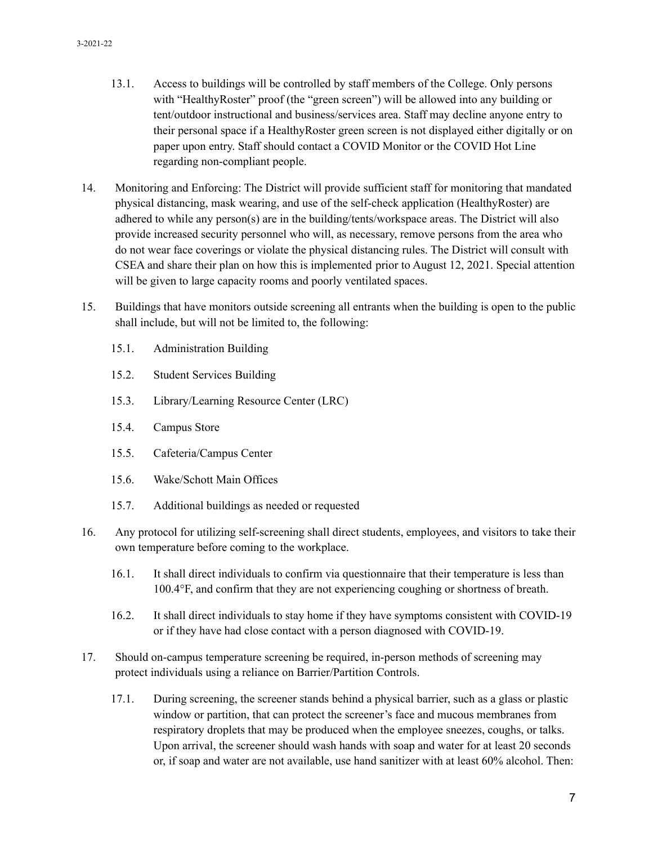- 13.1. Access to buildings will be controlled by staff members of the College. Only persons with "HealthyRoster" proof (the "green screen") will be allowed into any building or tent/outdoor instructional and business/services area. Staff may decline anyone entry to their personal space if a HealthyRoster green screen is not displayed either digitally or on paper upon entry. Staff should contact a COVID Monitor or the COVID Hot Line regarding non-compliant people.
- 14. Monitoring and Enforcing: The District will provide sufficient staff for monitoring that mandated physical distancing, mask wearing, and use of the self-check application (HealthyRoster) are adhered to while any person(s) are in the building/tents/workspace areas. The District will also provide increased security personnel who will, as necessary, remove persons from the area who do not wear face coverings or violate the physical distancing rules. The District will consult with CSEA and share their plan on how this is implemented prior to August 12, 2021. Special attention will be given to large capacity rooms and poorly ventilated spaces.
- 15. Buildings that have monitors outside screening all entrants when the building is open to the public shall include, but will not be limited to, the following:
	- 15.1. Administration Building
	- 15.2. Student Services Building
	- 15.3. Library/Learning Resource Center (LRC)
	- 15.4. Campus Store
	- 15.5. Cafeteria/Campus Center
	- 15.6. Wake/Schott Main Offices
	- 15.7. Additional buildings as needed or requested
- 16. Any protocol for utilizing self-screening shall direct students, employees, and visitors to take their own temperature before coming to the workplace.
	- 16.1. It shall direct individuals to confirm via questionnaire that their temperature is less than 100.4°F, and confirm that they are not experiencing coughing or shortness of breath.
	- 16.2. It shall direct individuals to stay home if they have symptoms consistent with COVID-19 or if they have had close contact with a person diagnosed with COVID-19.
- 17. Should on-campus temperature screening be required, in-person methods of screening may protect individuals using a reliance on Barrier/Partition Controls.
	- 17.1. During screening, the screener stands behind a physical barrier, such as a glass or plastic window or partition, that can protect the screener's face and mucous membranes from respiratory droplets that may be produced when the employee sneezes, coughs, or talks. Upon arrival, the screener should wash hands with soap and water for at least 20 seconds or, if soap and water are not available, use hand sanitizer with at least 60% alcohol. Then: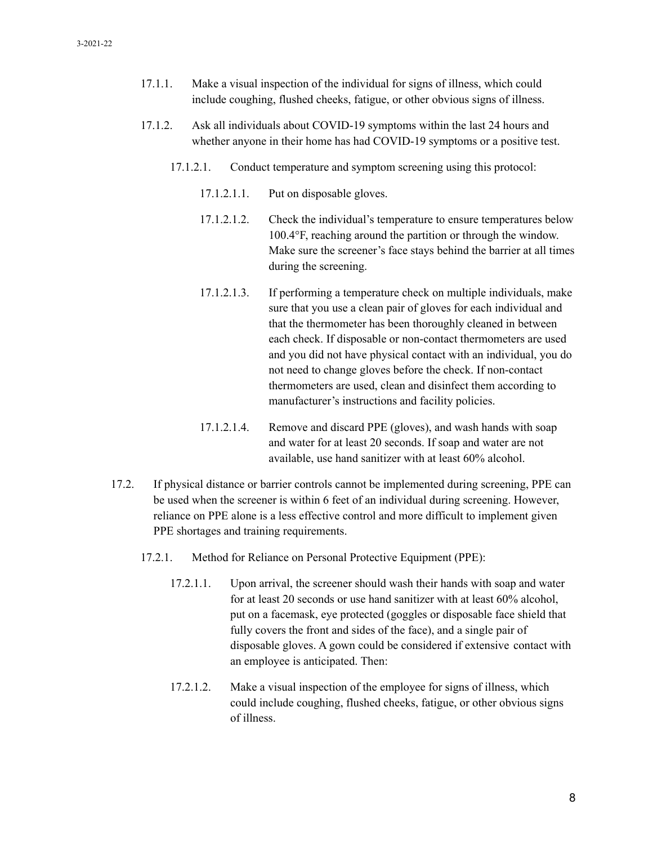- 17.1.1. Make a visual inspection of the individual for signs of illness, which could include coughing, flushed cheeks, fatigue, or other obvious signs of illness.
- 17.1.2. Ask all individuals about COVID-19 symptoms within the last 24 hours and whether anyone in their home has had COVID-19 symptoms or a positive test.
	- 17.1.2.1. Conduct temperature and symptom screening using this protocol:
		- 17.1.2.1.1. Put on disposable gloves.
		- 17.1.2.1.2. Check the individual's temperature to ensure temperatures below 100.4°F, reaching around the partition or through the window. Make sure the screener's face stays behind the barrier at all times during the screening.
		- 17.1.2.1.3. If performing a temperature check on multiple individuals, make sure that you use a clean pair of gloves for each individual and that the thermometer has been thoroughly cleaned in between each check. If disposable or non-contact thermometers are used and you did not have physical contact with an individual, you do not need to change gloves before the check. If non-contact thermometers are used, clean and disinfect them according to manufacturer's instructions and facility policies.
		- 17.1.2.1.4. Remove and discard PPE (gloves), and wash hands with soap and water for at least 20 seconds. If soap and water are not available, use hand sanitizer with at least 60% alcohol.
- 17.2. If physical distance or barrier controls cannot be implemented during screening, PPE can be used when the screener is within 6 feet of an individual during screening. However, reliance on PPE alone is a less effective control and more difficult to implement given PPE shortages and training requirements.
	- 17.2.1. Method for Reliance on Personal Protective Equipment (PPE):
		- 17.2.1.1. Upon arrival, the screener should wash their hands with soap and water for at least 20 seconds or use hand sanitizer with at least 60% alcohol, put on a facemask, eye protected (goggles or disposable face shield that fully covers the front and sides of the face), and a single pair of disposable gloves. A gown could be considered if extensive contact with an employee is anticipated. Then:
		- 17.2.1.2. Make a visual inspection of the employee for signs of illness, which could include coughing, flushed cheeks, fatigue, or other obvious signs of illness.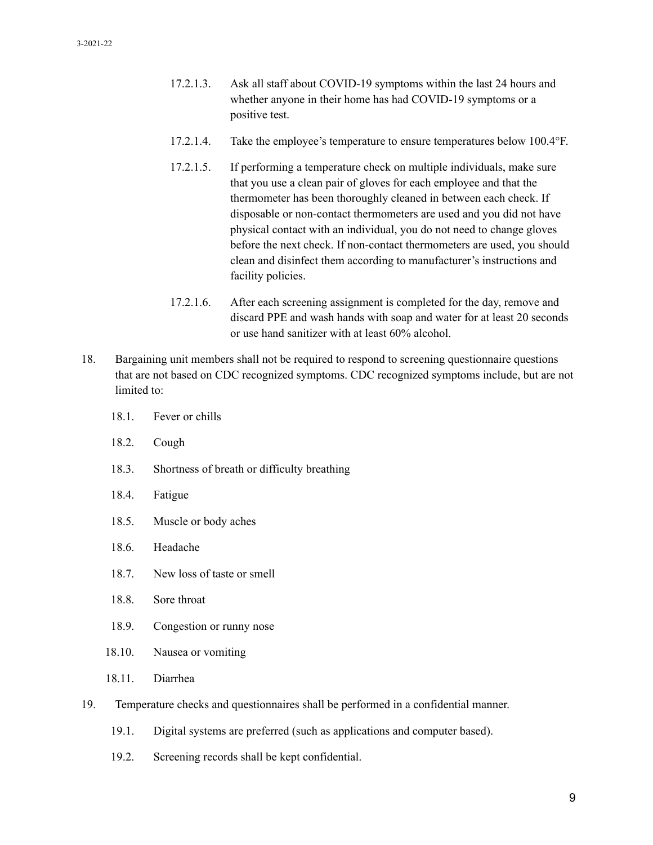- 17.2.1.3. Ask all staff about COVID-19 symptoms within the last 24 hours and whether anyone in their home has had COVID-19 symptoms or a positive test.
- 17.2.1.4. Take the employee's temperature to ensure temperatures below 100.4°F.
- 17.2.1.5. If performing a temperature check on multiple individuals, make sure that you use a clean pair of gloves for each employee and that the thermometer has been thoroughly cleaned in between each check. If disposable or non-contact thermometers are used and you did not have physical contact with an individual, you do not need to change gloves before the next check. If non-contact thermometers are used, you should clean and disinfect them according to manufacturer's instructions and facility policies.
- 17.2.1.6. After each screening assignment is completed for the day, remove and discard PPE and wash hands with soap and water for at least 20 seconds or use hand sanitizer with at least 60% alcohol.
- 18. Bargaining unit members shall not be required to respond to screening questionnaire questions that are not based on CDC recognized symptoms. CDC recognized symptoms include, but are not limited to:
	- 18.1. Fever or chills
	- 18.2. Cough
	- 18.3. Shortness of breath or difficulty breathing
	- 18.4. Fatigue
	- 18.5. Muscle or body aches
	- 18.6. Headache
	- 18.7. New loss of taste or smell
	- 18.8. Sore throat
	- 18.9. Congestion or runny nose
	- 18.10. Nausea or vomiting
	- 18.11. Diarrhea
- 19. Temperature checks and questionnaires shall be performed in a confidential manner.
	- 19.1. Digital systems are preferred (such as applications and computer based).
	- 19.2. Screening records shall be kept confidential.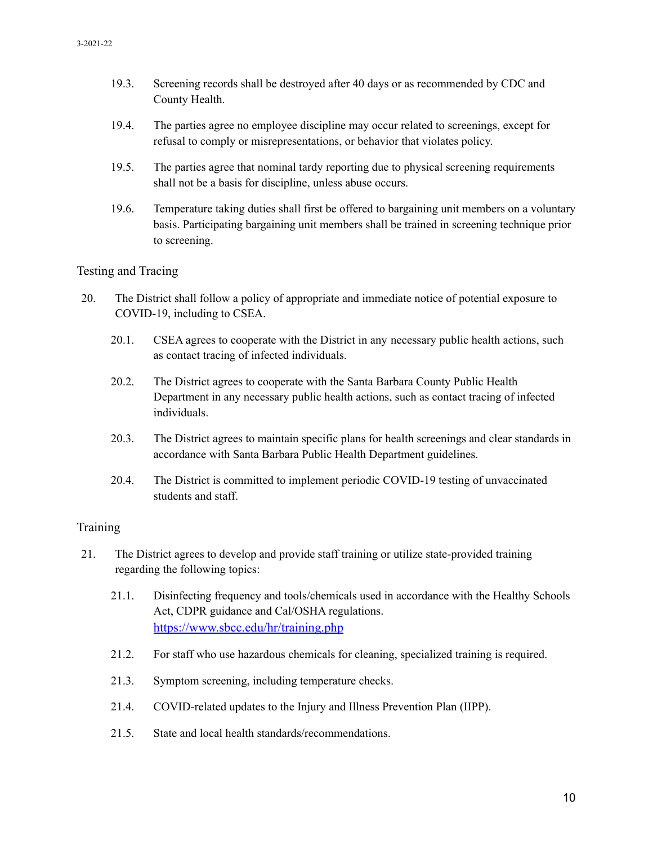- 19.3. Screening records shall be destroyed after 40 days or as recommended by CDC and County Health.
- 19.4. The parties agree no employee discipline may occur related to screenings, except for refusal to comply or misrepresentations, or behavior that violates policy.
- 19.5. The parties agree that nominal tardy reporting due to physical screening requirements shall not be a basis for discipline, unless abuse occurs.
- 19.6. Temperature taking duties shall first be offered to bargaining unit members on a voluntary basis. Participating bargaining unit members shall be trained in screening technique prior to screening.

#### Testing and Tracing

- 20. The District shall follow a policy of appropriate and immediate notice of potential exposure to COVID-19, including to CSEA.
	- 20.1. CSEA agrees to cooperate with the District in any necessary public health actions, such as contact tracing of infected individuals.
	- 20.2. The District agrees to cooperate with the Santa Barbara County Public Health Department in any necessary public health actions, such as contact tracing of infected individuals.
	- 20.3. The District agrees to maintain specific plans for health screenings and clear standards in accordance with Santa Barbara Public Health Department guidelines.
	- 20.4. The District is committed to implement periodic COVID-19 testing of unvaccinated students and staff.

#### **Training**

- 21. The District agrees to develop and provide staff training or utilize state-provided training regarding the following topics:
	- 21.1. Disinfecting frequency and tools/chemicals used in accordance with the Healthy Schools Act, CDPR guidance and Cal/OSHA regulations. <https://www.sbcc.edu/hr/training.php>
	- 21.2. For staff who use hazardous chemicals for cleaning, specialized training is required.
	- 21.3. Symptom screening, including temperature checks.
	- 21.4. COVID-related updates to the Injury and Illness Prevention Plan (IIPP).
	- 21.5. State and local health standards/recommendations.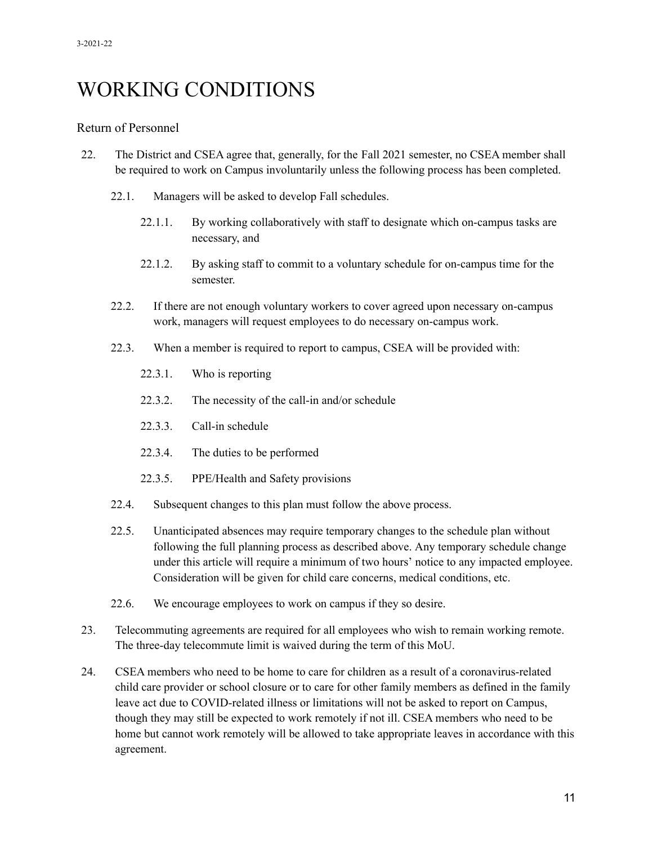# WORKING CONDITIONS

#### Return of Personnel

- 22. The District and CSEA agree that, generally, for the Fall 2021 semester, no CSEA member shall be required to work on Campus involuntarily unless the following process has been completed.
	- 22.1. Managers will be asked to develop Fall schedules.
		- 22.1.1. By working collaboratively with staff to designate which on-campus tasks are necessary, and
		- 22.1.2. By asking staff to commit to a voluntary schedule for on-campus time for the semester.
	- 22.2. If there are not enough voluntary workers to cover agreed upon necessary on-campus work, managers will request employees to do necessary on-campus work.
	- 22.3. When a member is required to report to campus, CSEA will be provided with:
		- 22.3.1. Who is reporting
		- 22.3.2. The necessity of the call-in and/or schedule
		- 22.3.3. Call-in schedule
		- 22.3.4. The duties to be performed
		- 22.3.5. PPE/Health and Safety provisions
	- 22.4. Subsequent changes to this plan must follow the above process.
	- 22.5. Unanticipated absences may require temporary changes to the schedule plan without following the full planning process as described above. Any temporary schedule change under this article will require a minimum of two hours' notice to any impacted employee. Consideration will be given for child care concerns, medical conditions, etc.
	- 22.6. We encourage employees to work on campus if they so desire.
- 23. Telecommuting agreements are required for all employees who wish to remain working remote. The three-day telecommute limit is waived during the term of this MoU.
- 24. CSEA members who need to be home to care for children as a result of a coronavirus-related child care provider or school closure or to care for other family members as defined in the family leave act due to COVID-related illness or limitations will not be asked to report on Campus, though they may still be expected to work remotely if not ill. CSEA members who need to be home but cannot work remotely will be allowed to take appropriate leaves in accordance with this agreement.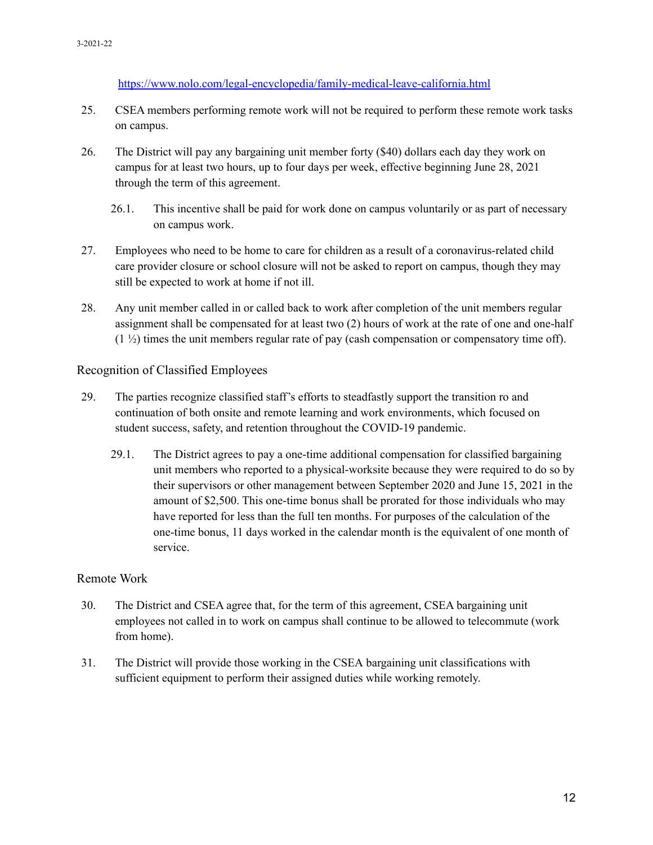<https://www.nolo.com/legal-encyclopedia/family-medical-leave-california.html>

- 25. CSEA members performing remote work will not be required to perform these remote work tasks on campus.
- 26. The District will pay any bargaining unit member forty (\$40) dollars each day they work on campus for at least two hours, up to four days per week, effective beginning June 28, 2021 through the term of this agreement.
	- 26.1. This incentive shall be paid for work done on campus voluntarily or as part of necessary on campus work.
- 27. Employees who need to be home to care for children as a result of a coronavirus-related child care provider closure or school closure will not be asked to report on campus, though they may still be expected to work at home if not ill.
- 28. Any unit member called in or called back to work after completion of the unit members regular assignment shall be compensated for at least two (2) hours of work at the rate of one and one-half  $(1 \frac{1}{2})$  times the unit members regular rate of pay (cash compensation or compensatory time off).

#### Recognition of Classified Employees

- 29. The parties recognize classified staff's efforts to steadfastly support the transition ro and continuation of both onsite and remote learning and work environments, which focused on student success, safety, and retention throughout the COVID-19 pandemic.
	- 29.1. The District agrees to pay a one-time additional compensation for classified bargaining unit members who reported to a physical-worksite because they were required to do so by their supervisors or other management between September 2020 and June 15, 2021 in the amount of \$2,500. This one-time bonus shall be prorated for those individuals who may have reported for less than the full ten months. For purposes of the calculation of the one-time bonus, 11 days worked in the calendar month is the equivalent of one month of service.

#### Remote Work

- 30. The District and CSEA agree that, for the term of this agreement, CSEA bargaining unit employees not called in to work on campus shall continue to be allowed to telecommute (work from home).
- 31. The District will provide those working in the CSEA bargaining unit classifications with sufficient equipment to perform their assigned duties while working remotely.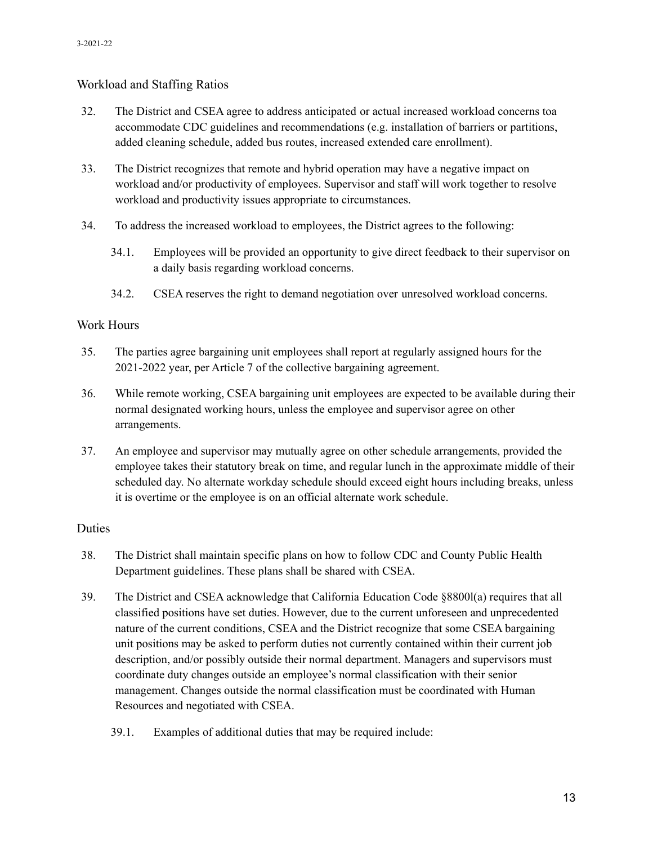#### Workload and Staffing Ratios

- 32. The District and CSEA agree to address anticipated or actual increased workload concerns toa accommodate CDC guidelines and recommendations (e.g. installation of barriers or partitions, added cleaning schedule, added bus routes, increased extended care enrollment).
- 33. The District recognizes that remote and hybrid operation may have a negative impact on workload and/or productivity of employees. Supervisor and staff will work together to resolve workload and productivity issues appropriate to circumstances.
- 34. To address the increased workload to employees, the District agrees to the following:
	- 34.1. Employees will be provided an opportunity to give direct feedback to their supervisor on a daily basis regarding workload concerns.
	- 34.2. CSEA reserves the right to demand negotiation over unresolved workload concerns.

#### Work Hours

- 35. The parties agree bargaining unit employees shall report at regularly assigned hours for the 2021-2022 year, per Article 7 of the collective bargaining agreement.
- 36. While remote working, CSEA bargaining unit employees are expected to be available during their normal designated working hours, unless the employee and supervisor agree on other arrangements.
- 37. An employee and supervisor may mutually agree on other schedule arrangements, provided the employee takes their statutory break on time, and regular lunch in the approximate middle of their scheduled day. No alternate workday schedule should exceed eight hours including breaks, unless it is overtime or the employee is on an official alternate work schedule.

#### Duties

- 38. The District shall maintain specific plans on how to follow CDC and County Public Health Department guidelines. These plans shall be shared with CSEA.
- 39. The District and CSEA acknowledge that California Education Code §8800l(a) requires that all classified positions have set duties. However, due to the current unforeseen and unprecedented nature of the current conditions, CSEA and the District recognize that some CSEA bargaining unit positions may be asked to perform duties not currently contained within their current job description, and/or possibly outside their normal department. Managers and supervisors must coordinate duty changes outside an employee's normal classification with their senior management. Changes outside the normal classification must be coordinated with Human Resources and negotiated with CSEA.
	- 39.1. Examples of additional duties that may be required include: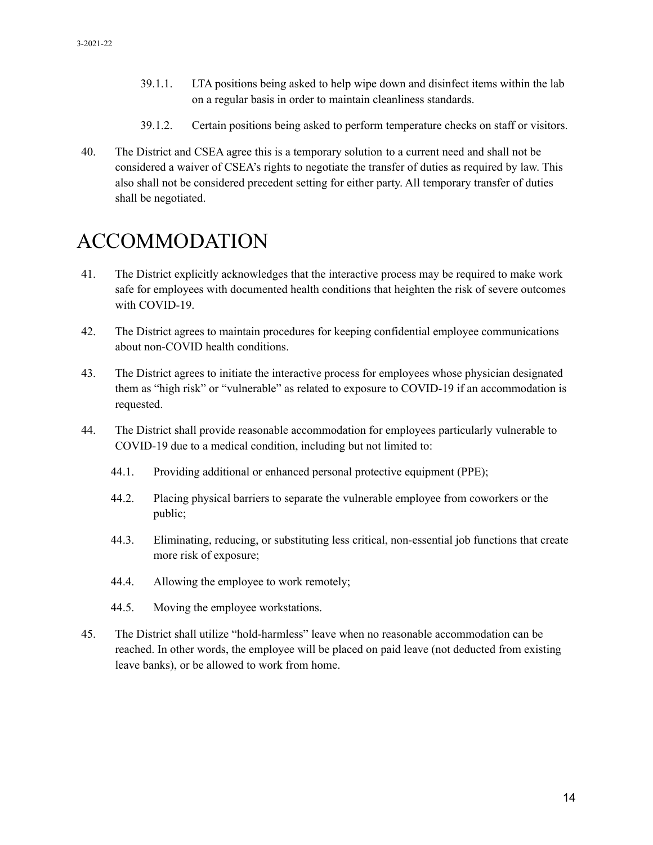- 39.1.1. LTA positions being asked to help wipe down and disinfect items within the lab on a regular basis in order to maintain cleanliness standards.
- 39.1.2. Certain positions being asked to perform temperature checks on staff or visitors.
- 40. The District and CSEA agree this is a temporary solution to a current need and shall not be considered a waiver of CSEA's rights to negotiate the transfer of duties as required by law. This also shall not be considered precedent setting for either party. All temporary transfer of duties shall be negotiated.

# ACCOMMODATION

- 41. The District explicitly acknowledges that the interactive process may be required to make work safe for employees with documented health conditions that heighten the risk of severe outcomes with COVID-19.
- 42. The District agrees to maintain procedures for keeping confidential employee communications about non-COVID health conditions.
- 43. The District agrees to initiate the interactive process for employees whose physician designated them as "high risk" or "vulnerable" as related to exposure to COVID-19 if an accommodation is requested.
- 44. The District shall provide reasonable accommodation for employees particularly vulnerable to COVID-19 due to a medical condition, including but not limited to:
	- 44.1. Providing additional or enhanced personal protective equipment (PPE);
	- 44.2. Placing physical barriers to separate the vulnerable employee from coworkers or the public;
	- 44.3. Eliminating, reducing, or substituting less critical, non-essential job functions that create more risk of exposure;
	- 44.4. Allowing the employee to work remotely;
	- 44.5. Moving the employee workstations.
- 45. The District shall utilize "hold-harmless" leave when no reasonable accommodation can be reached. In other words, the employee will be placed on paid leave (not deducted from existing leave banks), or be allowed to work from home.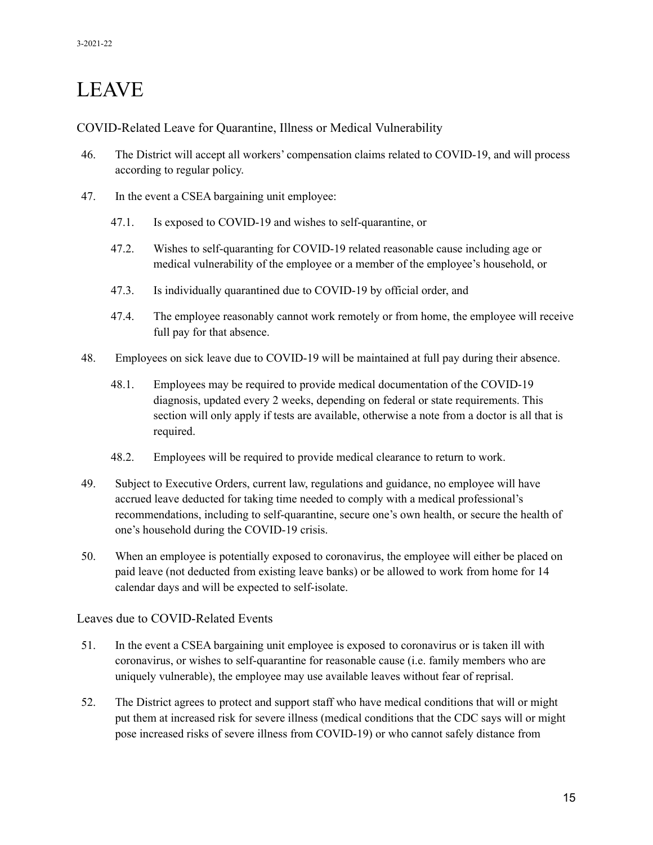# LEAVE

COVID-Related Leave for Quarantine, Illness or Medical Vulnerability

- 46. The District will accept all workers' compensation claims related to COVID-19, and will process according to regular policy.
- 47. In the event a CSEA bargaining unit employee:
	- 47.1. Is exposed to COVID-19 and wishes to self-quarantine, or
	- 47.2. Wishes to self-quaranting for COVID-19 related reasonable cause including age or medical vulnerability of the employee or a member of the employee's household, or
	- 47.3. Is individually quarantined due to COVID-19 by official order, and
	- 47.4. The employee reasonably cannot work remotely or from home, the employee will receive full pay for that absence.
- 48. Employees on sick leave due to COVID-19 will be maintained at full pay during their absence.
	- 48.1. Employees may be required to provide medical documentation of the COVID-19 diagnosis, updated every 2 weeks, depending on federal or state requirements. This section will only apply if tests are available, otherwise a note from a doctor is all that is required.
	- 48.2. Employees will be required to provide medical clearance to return to work.
- 49. Subject to Executive Orders, current law, regulations and guidance, no employee will have accrued leave deducted for taking time needed to comply with a medical professional's recommendations, including to self-quarantine, secure one's own health, or secure the health of one's household during the COVID-19 crisis.
- 50. When an employee is potentially exposed to coronavirus, the employee will either be placed on paid leave (not deducted from existing leave banks) or be allowed to work from home for 14 calendar days and will be expected to self-isolate.

#### Leaves due to COVID-Related Events

- 51. In the event a CSEA bargaining unit employee is exposed to coronavirus or is taken ill with coronavirus, or wishes to self-quarantine for reasonable cause (i.e. family members who are uniquely vulnerable), the employee may use available leaves without fear of reprisal.
- 52. The District agrees to protect and support staff who have medical conditions that will or might put them at increased risk for severe illness (medical conditions that the CDC says will or might pose increased risks of severe illness from COVID-19) or who cannot safely distance from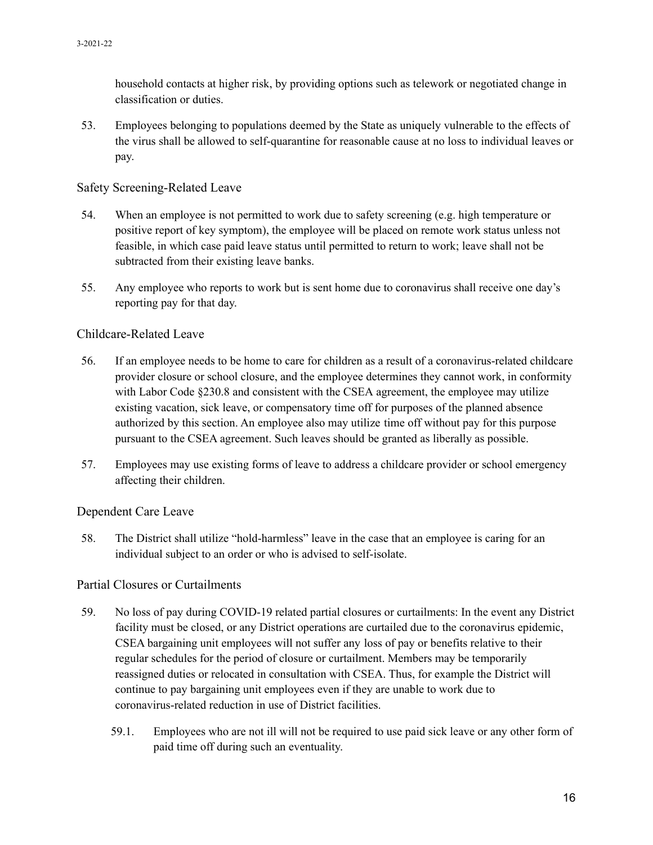household contacts at higher risk, by providing options such as telework or negotiated change in classification or duties.

53. Employees belonging to populations deemed by the State as uniquely vulnerable to the effects of the virus shall be allowed to self-quarantine for reasonable cause at no loss to individual leaves or pay.

#### Safety Screening-Related Leave

- 54. When an employee is not permitted to work due to safety screening (e.g. high temperature or positive report of key symptom), the employee will be placed on remote work status unless not feasible, in which case paid leave status until permitted to return to work; leave shall not be subtracted from their existing leave banks.
- 55. Any employee who reports to work but is sent home due to coronavirus shall receive one day's reporting pay for that day.

#### Childcare-Related Leave

- 56. If an employee needs to be home to care for children as a result of a coronavirus-related childcare provider closure or school closure, and the employee determines they cannot work, in conformity with Labor Code §230.8 and consistent with the CSEA agreement, the employee may utilize existing vacation, sick leave, or compensatory time off for purposes of the planned absence authorized by this section. An employee also may utilize time off without pay for this purpose pursuant to the CSEA agreement. Such leaves should be granted as liberally as possible.
- 57. Employees may use existing forms of leave to address a childcare provider or school emergency affecting their children.

#### Dependent Care Leave

58. The District shall utilize "hold-harmless" leave in the case that an employee is caring for an individual subject to an order or who is advised to self-isolate.

#### Partial Closures or Curtailments

- 59. No loss of pay during COVID-19 related partial closures or curtailments: In the event any District facility must be closed, or any District operations are curtailed due to the coronavirus epidemic, CSEA bargaining unit employees will not suffer any loss of pay or benefits relative to their regular schedules for the period of closure or curtailment. Members may be temporarily reassigned duties or relocated in consultation with CSEA. Thus, for example the District will continue to pay bargaining unit employees even if they are unable to work due to coronavirus-related reduction in use of District facilities.
	- 59.1. Employees who are not ill will not be required to use paid sick leave or any other form of paid time off during such an eventuality.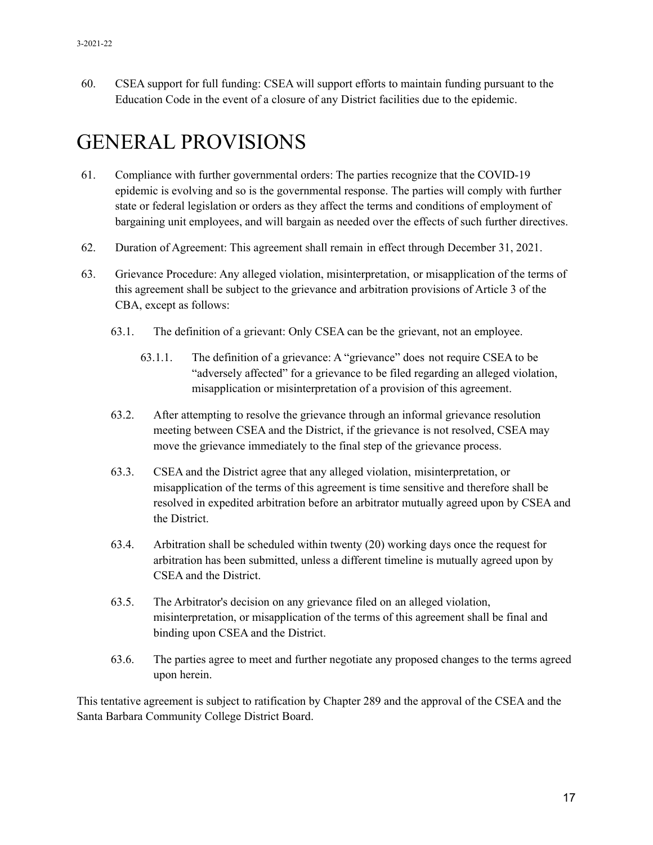60. CSEA support for full funding: CSEA will support efforts to maintain funding pursuant to the Education Code in the event of a closure of any District facilities due to the epidemic.

# GENERAL PROVISIONS

- 61. Compliance with further governmental orders: The parties recognize that the COVID-19 epidemic is evolving and so is the governmental response. The parties will comply with further state or federal legislation or orders as they affect the terms and conditions of employment of bargaining unit employees, and will bargain as needed over the effects of such further directives.
- 62. Duration of Agreement: This agreement shall remain in effect through December 31, 2021.
- 63. Grievance Procedure: Any alleged violation, misinterpretation, or misapplication of the terms of this agreement shall be subject to the grievance and arbitration provisions of Article 3 of the CBA, except as follows:
	- 63.1. The definition of a grievant: Only CSEA can be the grievant, not an employee.
		- 63.1.1. The definition of a grievance: A "grievance" does not require CSEA to be "adversely affected" for a grievance to be filed regarding an alleged violation, misapplication or misinterpretation of a provision of this agreement.
	- 63.2. After attempting to resolve the grievance through an informal grievance resolution meeting between CSEA and the District, if the grievance is not resolved, CSEA may move the grievance immediately to the final step of the grievance process.
	- 63.3. CSEA and the District agree that any alleged violation, misinterpretation, or misapplication of the terms of this agreement is time sensitive and therefore shall be resolved in expedited arbitration before an arbitrator mutually agreed upon by CSEA and the District.
	- 63.4. Arbitration shall be scheduled within twenty (20) working days once the request for arbitration has been submitted, unless a different timeline is mutually agreed upon by CSEA and the District.
	- 63.5. The Arbitrator's decision on any grievance filed on an alleged violation, misinterpretation, or misapplication of the terms of this agreement shall be final and binding upon CSEA and the District.
	- 63.6. The parties agree to meet and further negotiate any proposed changes to the terms agreed upon herein.

This tentative agreement is subject to ratification by Chapter 289 and the approval of the CSEA and the Santa Barbara Community College District Board.